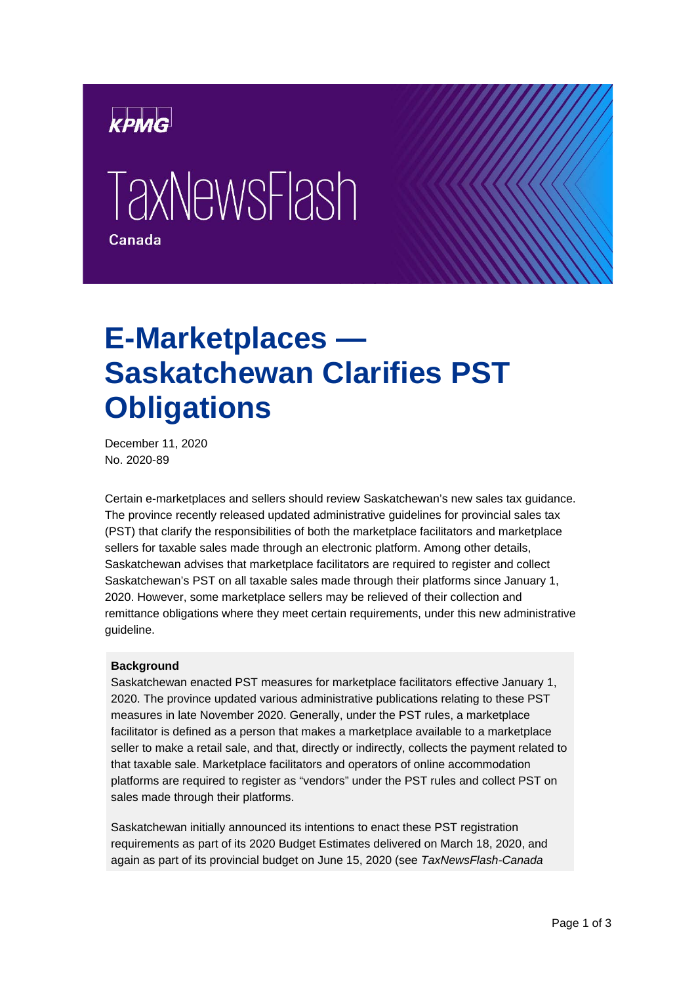

# **TaxNewsFlash** Canada

## **E-Marketplaces — Saskatchewan Clarifies PST Obligations**

December 11, 2020 No. 2020-89

Certain e-marketplaces and sellers should review Saskatchewan's new sales tax guidance. The province recently released updated administrative guidelines for provincial sales tax (PST) that clarify the responsibilities of both the marketplace facilitators and marketplace sellers for taxable sales made through an electronic platform. Among other details, Saskatchewan advises that marketplace facilitators are required to register and collect Saskatchewan's PST on all taxable sales made through their platforms since January 1, 2020. However, some marketplace sellers may be relieved of their collection and remittance obligations where they meet certain requirements, under this new administrative guideline.

#### **Background**

Saskatchewan enacted PST measures for marketplace facilitators effective January 1, 2020. The province updated various administrative publications relating to these PST measures in late November 2020. Generally, under the PST rules, a marketplace facilitator is defined as a person that makes a marketplace available to a marketplace seller to make a retail sale, and that, directly or indirectly, collects the payment related to that taxable sale. Marketplace facilitators and operators of online accommodation platforms are required to register as "vendors" under the PST rules and collect PST on sales made through their platforms.

Saskatchewan initially announced its intentions to enact these PST registration requirements as part of its 2020 Budget Estimates delivered on March 18, 2020, and again as part of its provincial budget on June 15, 2020 (see *TaxNewsFlash-Canada*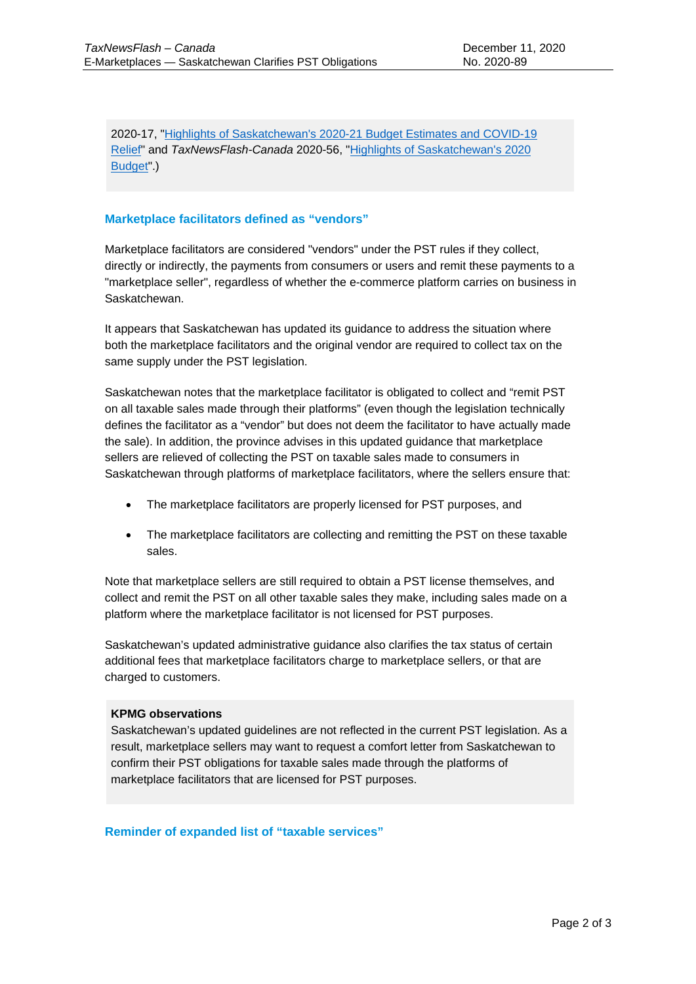2020-17, ["Highlights of Saskatchewan's 2020-21 Budget Estimates and COVID-19](https://assets.kpmg/content/dam/kpmg/ca/pdf/tnf/2020/ca-highlights-of-saskatchewans-2020-21-budget-estimates-and-covid-19-relief.pdf)  [Relief"](https://assets.kpmg/content/dam/kpmg/ca/pdf/tnf/2020/ca-highlights-of-saskatchewans-2020-21-budget-estimates-and-covid-19-relief.pdf) and *TaxNewsFlash-Canada* 2020-56, ["Highlights of Saskatchewan's 2020](https://assets.kpmg/content/dam/kpmg/ca/pdf/tnf/2020/ca-highlights-of-saskatchewans-2020-budget.pdf)  [Budget"](https://assets.kpmg/content/dam/kpmg/ca/pdf/tnf/2020/ca-highlights-of-saskatchewans-2020-budget.pdf).)

### **Marketplace facilitators defined as "vendors"**

Marketplace facilitators are considered "vendors" under the PST rules if they collect, directly or indirectly, the payments from consumers or users and remit these payments to a "marketplace seller", regardless of whether the e-commerce platform carries on business in Saskatchewan.

It appears that Saskatchewan has updated its guidance to address the situation where both the marketplace facilitators and the original vendor are required to collect tax on the same supply under the PST legislation.

Saskatchewan notes that the marketplace facilitator is obligated to collect and "remit PST on all taxable sales made through their platforms" (even though the legislation technically defines the facilitator as a "vendor" but does not deem the facilitator to have actually made the sale). In addition, the province advises in this updated guidance that marketplace sellers are relieved of collecting the PST on taxable sales made to consumers in Saskatchewan through platforms of marketplace facilitators, where the sellers ensure that:

- The marketplace facilitators are properly licensed for PST purposes, and
- The marketplace facilitators are collecting and remitting the PST on these taxable sales.

Note that marketplace sellers are still required to obtain a PST license themselves, and collect and remit the PST on all other taxable sales they make, including sales made on a platform where the marketplace facilitator is not licensed for PST purposes.

Saskatchewan's updated administrative guidance also clarifies the tax status of certain additional fees that marketplace facilitators charge to marketplace sellers, or that are charged to customers.

#### **KPMG observations**

Saskatchewan's updated guidelines are not reflected in the current PST legislation. As a result, marketplace sellers may want to request a comfort letter from Saskatchewan to confirm their PST obligations for taxable sales made through the platforms of marketplace facilitators that are licensed for PST purposes.

**Reminder of expanded list of "taxable services"**